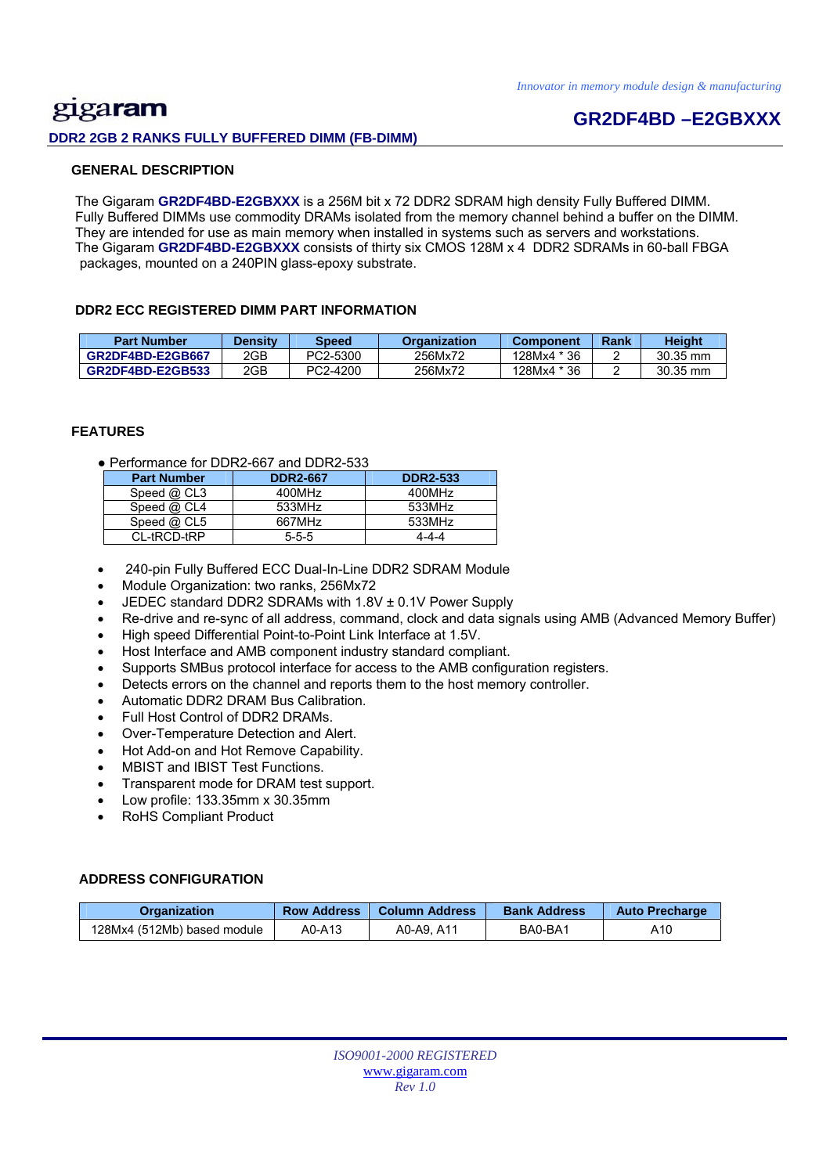## gigaram **DDR2 2GB 2 RANKS FULLY BUFFERED DIMM (FB-DIMM)**

## **GR2DF4BD –E2GBXXX**

#### **GENERAL DESCRIPTION**

 The Gigaram **GR2DF4BD-E2GBXXX** is a 256M bit x 72 DDR2 SDRAM high density Fully Buffered DIMM. Fully Buffered DIMMs use commodity DRAMs isolated from the memory channel behind a buffer on the DIMM. They are intended for use as main memory when installed in systems such as servers and workstations. The Gigaram **GR2DF4BD-E2GBXXX** consists of thirty six CMOS 128M x 4 DDR2 SDRAMs in 60-ball FBGA packages, mounted on a 240PIN glass-epoxy substrate.

#### **DDR2 ECC REGISTERED DIMM PART INFORMATION**

| <b>Part Number</b> | <b>Density</b> | Speed    | <b>Organization</b> | <b>Component</b> | Rank | <b>Height</b> |
|--------------------|----------------|----------|---------------------|------------------|------|---------------|
| GR2DF4BD-E2GB667   | 2GB            | PC2-5300 | 256Mx72             | 128Mx4 * 36      |      | 30.35 mm      |
| GR2DF4BD-E2GB533   | 2GB            | PC2-4200 | 256Mx72             | 128Mx4 * 36      |      | $30.35$ mm    |

#### **FEATURES**

● Performance for DDR2-667 and DDR2-533

| <b>Part Number</b> | <b>DDR2-667</b> | <b>DDR2-533</b> |
|--------------------|-----------------|-----------------|
| Speed $@$ CL3      | 400MHz          | 400MHz          |
| Speed $@$ CL4      | 533MHz          | 533MHz          |
| Speed $@$ CL5      | 667MHz          | 533MHz          |
| CL-tRCD-tRP        | $5 - 5 - 5$     | 4-4-4           |

- 240-pin Fully Buffered ECC Dual-In-Line DDR2 SDRAM Module
- Module Organization: two ranks, 256Mx72
- JEDEC standard DDR2 SDRAMs with 1.8V ± 0.1V Power Supply
- Re-drive and re-sync of all address, command, clock and data signals using AMB (Advanced Memory Buffer)
- High speed Differential Point-to-Point Link Interface at 1.5V.
- Host Interface and AMB component industry standard compliant.
- Supports SMBus protocol interface for access to the AMB configuration registers.
- Detects errors on the channel and reports them to the host memory controller.
- Automatic DDR2 DRAM Bus Calibration.
- Full Host Control of DDR2 DRAMs.
- Over-Temperature Detection and Alert.
- Hot Add-on and Hot Remove Capability.
- MBIST and IBIST Test Functions.
- Transparent mode for DRAM test support.
- Low profile: 133.35mm x 30.35mm
- RoHS Compliant Product

#### **ADDRESS CONFIGURATION**

| <b>Organization</b>         | <b>Row Address</b> | ⊦Column Address । | <b>Bank Address</b> | <b>Auto Precharge</b> |
|-----------------------------|--------------------|-------------------|---------------------|-----------------------|
| 128Mx4 (512Mb) based module | A0-A13             | A0-A9. A11        | BA0-BA1             | A10                   |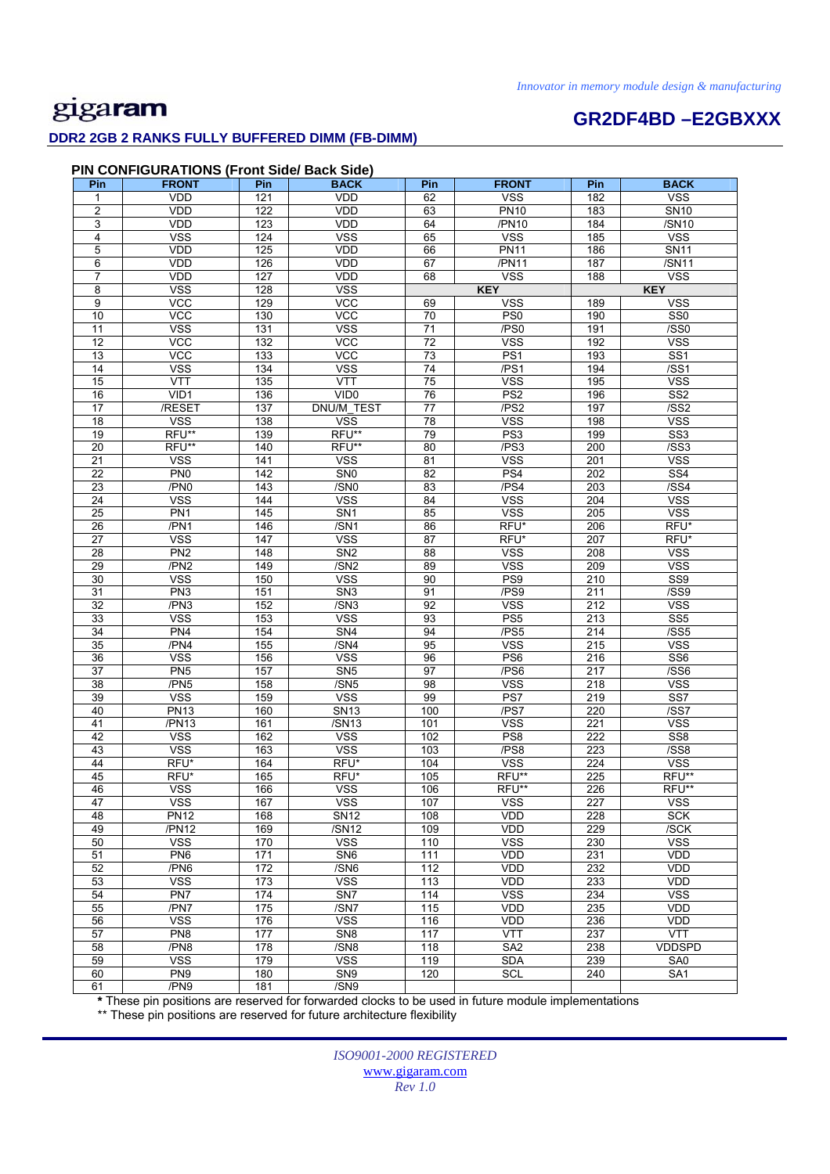# **GR2DF4BD –E2GBXXX**

### **DDR2 2GB 2 RANKS FULLY BUFFERED DIMM (FB-DIMM)**

#### **PIN CONFIGURATIONS (Front Side/ Back Side)**

| Pin             | <b>FRONT</b>    | Pin | <b>BACK</b>             | Pin              | <b>FRONT</b>     | Pin              | <b>BACK</b>             |
|-----------------|-----------------|-----|-------------------------|------------------|------------------|------------------|-------------------------|
| 1               | <b>VDD</b>      | 121 | <b>VDD</b>              | 62               | <b>VSS</b>       | 182              | <b>VSS</b>              |
| 2               | VDD             | 122 | <b>VDD</b>              | 63               | <b>PN10</b>      | 183              | <b>SN10</b>             |
| 3               | VDD             | 123 | <b>VDD</b>              | 64               | /PN10            | 184              | /SN10                   |
| 4               | <b>VSS</b>      | 124 | <b>VSS</b>              | 65               | <b>VSS</b>       | 185              | <b>VSS</b>              |
| 5               | VDD             | 125 | <b>VDD</b>              | 66               | <b>PN11</b>      | 186              | <b>SN11</b>             |
| 6               | VDD             | 126 | VDD                     | 67               | /PN11            | 187              | /SN11                   |
| $\overline{7}$  | VDD             | 127 | <b>VDD</b>              | 68               | <b>VSS</b>       | 188              | <b>VSS</b>              |
| 8               | <b>VSS</b>      | 128 | <b>VSS</b>              |                  | <b>KEY</b>       |                  | <b>KEY</b>              |
| 9               | <b>VCC</b>      | 129 | <b>VCC</b>              | 69               | <b>VSS</b>       | 189              | <b>VSS</b>              |
| 10              | <b>VCC</b>      | 130 | <b>VCC</b>              | $\overline{70}$  | PS0              | 190              | SS <sub>0</sub>         |
| 11              | <b>VSS</b>      | 131 | <b>VSS</b>              | $\overline{71}$  | /PS0             | 191              | /SS0                    |
| $\overline{12}$ | <b>VCC</b>      | 132 | $\overline{VCC}$        | $\overline{72}$  | <b>VSS</b>       | 192              | <b>VSS</b>              |
| 13              | <b>VCC</b>      | 133 | <b>VCC</b>              | 73               | PS <sub>1</sub>  | 193              | SS <sub>1</sub>         |
| 14              | <b>VSS</b>      | 134 | <b>VSS</b>              | 74               | /PS1             | 194              | /SS1                    |
| 15              | <b>VTT</b>      | 135 | <b>VTT</b>              | 75               | <b>VSS</b>       | 195              | <b>VSS</b>              |
| 16              | VID1            | 136 | VID <sub>0</sub>        | 76               | PS <sub>2</sub>  | 196              | SS <sub>2</sub>         |
| 17              | /RESET          | 137 | DNU/M_TEST              | 77               | /PS <sub>2</sub> | 197              | /SS2                    |
| 18              | <b>VSS</b>      | 138 | $\overline{\text{VSS}}$ | $\overline{78}$  | <b>VSS</b>       | 198              | <b>VSS</b>              |
| 19              | RFU**           | 139 | RFU**                   | 79               | PS <sub>3</sub>  | 199              | SS <sub>3</sub>         |
| 20              | RFU**           | 140 | RFU**                   | 80               | /PS3             | 200              | /SS3                    |
| 21              | <b>VSS</b>      | 141 | <b>VSS</b>              | 81               | <b>VSS</b>       | 201              | <b>VSS</b>              |
| 22              | PN <sub>0</sub> | 142 | SN <sub>0</sub>         | $\overline{82}$  | PS4              | 202              | $\overline{\text{SS4}}$ |
| 23              | /PN0            | 143 | /SN <sub>0</sub>        | 83               | /PS4             | 203              | /SS4                    |
| 24              | <b>VSS</b>      | 144 | <b>VSS</b>              | 84               | <b>VSS</b>       | 204              | <b>VSS</b>              |
| $\overline{25}$ | PN <sub>1</sub> | 145 | SN <sub>1</sub>         | 85               | <b>VSS</b>       | 205              | <b>VSS</b>              |
| 26              | /PN1            | 146 | /SN1                    | 86               | RFU*             | 206              | RFU*                    |
| 27              | <b>VSS</b>      | 147 | <b>VSS</b>              | 87               | RFU*             | 207              | RFU*                    |
| 28              | PN <sub>2</sub> | 148 | SN <sub>2</sub>         | 88               | <b>VSS</b>       | 208              | <b>VSS</b>              |
| 29              | /PN2            | 149 | /SN2                    | 89               | <b>VSS</b>       | 209              | <b>VSS</b>              |
| 30              | <b>VSS</b>      | 150 | <b>VSS</b>              | 90               | PS <sub>9</sub>  | 210              | SS <sub>9</sub>         |
| 31              | PN <sub>3</sub> | 151 | SN <sub>3</sub>         | 91               | /PS9             | 211              | /SS9                    |
| 32              | /PN3            | 152 | /SN3                    | 92               | <b>VSS</b>       | 212              | <b>VSS</b>              |
| 33              | <b>VSS</b>      | 153 | <b>VSS</b>              | 93               | PS <sub>5</sub>  | 213              | SS <sub>5</sub>         |
| 34              | PN <sub>4</sub> | 154 | SN4                     | 94               | /PS5             | 214              | /SS5                    |
| 35              | /PN4            | 155 | /SN4                    | 95               | <b>VSS</b>       | 215              | <b>VSS</b>              |
| 36              | <b>VSS</b>      | 156 | <b>VSS</b>              | 96               | PS <sub>6</sub>  | 216              | SS <sub>6</sub>         |
| 37              | PN <sub>5</sub> | 157 | SN <sub>5</sub>         | 97               | /PS6             | 217              | /SS6                    |
| 38              | /PN5            | 158 | /SN5                    | 98               | <b>VSS</b>       | 218              | <b>VSS</b>              |
| 39              | <b>VSS</b>      | 159 | <b>VSS</b>              | 99               | PS7              | 219              | SS7                     |
| 40              | <b>PN13</b>     | 160 | <b>SN13</b>             | 100              | /PS7             | 220              | /SS7                    |
| 41              | /PN13           | 161 | /SN13                   | 101              | <b>VSS</b>       | 221              | <b>VSS</b>              |
| 42              | <b>VSS</b>      | 162 | <b>VSS</b>              | 102              | PS8              | $\overline{222}$ | SS <sub>8</sub>         |
| 43              | <b>VSS</b>      | 163 | <b>VSS</b>              | 103              | /PS8             | 223              | /SS8                    |
| 44              | RFU*            | 164 | RFU*                    | 104              | <b>VSS</b>       | 224              | <b>VSS</b>              |
| 45              | RFU*            | 165 | RFU*                    | 105              | RFU**            | 225              | RFU**                   |
| 46              | <b>VSS</b>      | 166 | <b>VSS</b>              | 106              | RFU**            | 226              | RFU**                   |
| 47              | <b>VSS</b>      | 167 | <b>VSS</b>              | 107              | <b>VSS</b>       | 227              | <b>VSS</b>              |
| 48              | <b>PN12</b>     | 168 | <b>SN12</b>             | 108              | <b>VDD</b>       | 228              | <b>SCK</b>              |
| 49              | /PN12           | 169 | /SN12                   | 109              | VDD              | 229              | /SCK                    |
| 50              | <b>VSS</b>      | 170 | <b>VSS</b>              | 110              | <b>VSS</b>       | 230              | <b>VSS</b>              |
| 51              | PN <sub>6</sub> | 171 | SN <sub>6</sub>         | $\overline{111}$ | VDD              | 231              | <b>VDD</b>              |
| 52              | /PN6            | 172 | /SN6                    | 112              | <b>VDD</b>       | 232              | <b>VDD</b>              |
| 53              | <b>VSS</b>      | 173 | <b>VSS</b>              | 113              | <b>VDD</b>       | 233              | <b>VDD</b>              |
| 54              | PN7             | 174 | SN7                     | 114              | <b>VSS</b>       | 234              | <b>VSS</b>              |
| 55              | /PN7            | 175 | /SN7                    | $\overline{115}$ | VDD              | 235              | <b>VDD</b>              |
| 56              | <b>VSS</b>      | 176 | <b>VSS</b>              | 116              | VDD              | 236              | <b>VDD</b>              |
| 57              | PN <sub>8</sub> | 177 | SN <sub>8</sub>         | 117              | <b>VTT</b>       | 237              | <b>VTT</b>              |
| 58              | /PN8            | 178 | /SN8                    | 118              | SA <sub>2</sub>  | 238              | <b>VDDSPD</b>           |
| 59              | <b>VSS</b>      | 179 | <b>VSS</b>              | 119              | <b>SDA</b>       | 239              | SA0                     |
| 60              | PN <sub>9</sub> | 180 | SN <sub>9</sub>         | 120              | SCL              | 240              | SA <sub>1</sub>         |
| 61              | /PN9            | 181 | /SN9                    |                  |                  |                  |                         |

**\*** These pin positions are reserved for forwarded clocks to be used in future module implementations

\*\* These pin positions are reserved for future architecture flexibility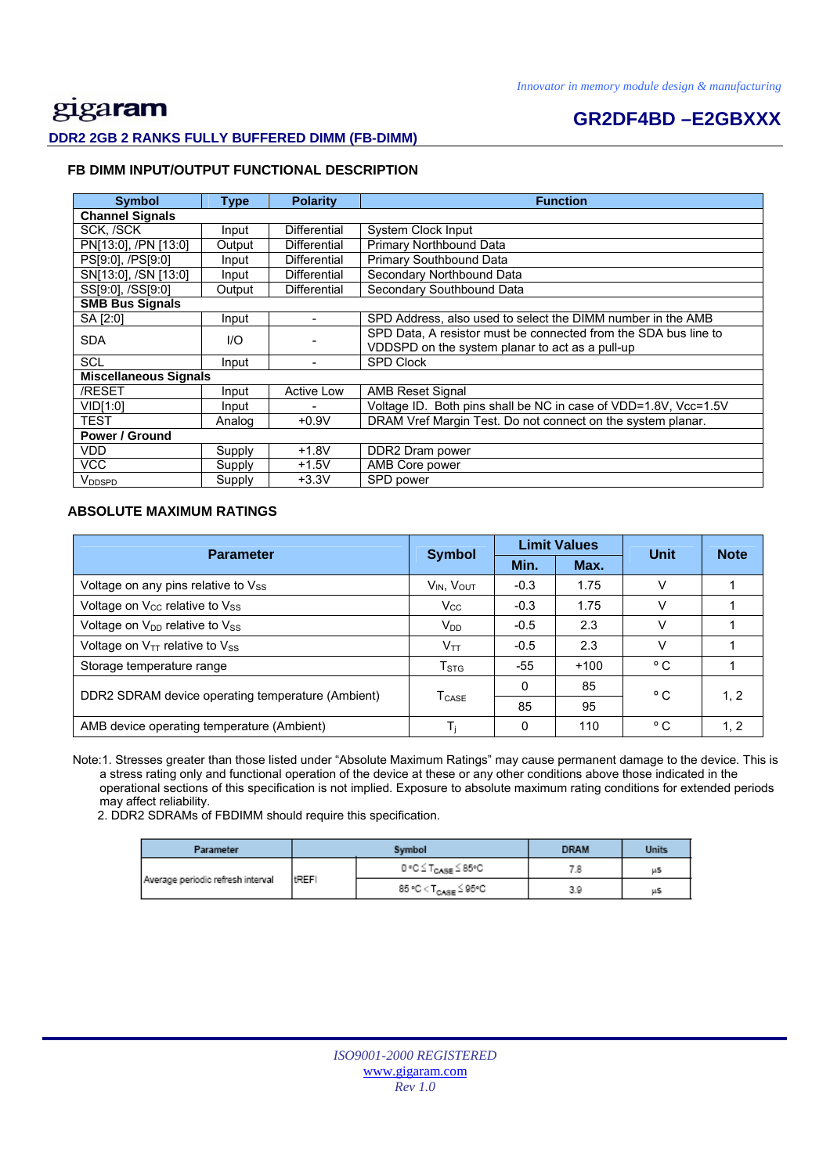## **GR2DF4BD –E2GBXXX DDR2 2GB 2 RANKS FULLY BUFFERED DIMM (FB-DIMM)**

#### **FB DIMM INPUT/OUTPUT FUNCTIONAL DESCRIPTION**

| <b>Symbol</b>                | <b>Type</b> | <b>Polarity</b>     | <b>Function</b>                                                 |  |  |  |
|------------------------------|-------------|---------------------|-----------------------------------------------------------------|--|--|--|
| <b>Channel Signals</b>       |             |                     |                                                                 |  |  |  |
| SCK, /SCK                    | Input       | <b>Differential</b> | System Clock Input                                              |  |  |  |
| PN[13:0], /PN [13:0]         | Output      | <b>Differential</b> | Primary Northbound Data                                         |  |  |  |
| PS[9:0], /PS[9:0]            | Input       | <b>Differential</b> | Primary Southbound Data                                         |  |  |  |
| SN[13:0], /SN [13:0]         | Input       | <b>Differential</b> | Secondary Northbound Data                                       |  |  |  |
| SS[9:0], /SS[9:0]            | Output      | <b>Differential</b> | Secondary Southbound Data                                       |  |  |  |
| <b>SMB Bus Signals</b>       |             |                     |                                                                 |  |  |  |
| SA [2:0]                     | Input       |                     | SPD Address, also used to select the DIMM number in the AMB     |  |  |  |
| <b>SDA</b><br>1/O            |             |                     | SPD Data, A resistor must be connected from the SDA bus line to |  |  |  |
|                              |             |                     | VDDSPD on the system planar to act as a pull-up                 |  |  |  |
| <b>SCL</b>                   | Input       |                     | <b>SPD Clock</b>                                                |  |  |  |
| <b>Miscellaneous Signals</b> |             |                     |                                                                 |  |  |  |
| /RESET                       | Input       | <b>Active Low</b>   | <b>AMB Reset Signal</b>                                         |  |  |  |
| VID[1:0]                     | Input       |                     | Voltage ID. Both pins shall be NC in case of VDD=1.8V, Vcc=1.5V |  |  |  |
| <b>TEST</b>                  | Analog      | $+0.9V$             | DRAM Vref Margin Test. Do not connect on the system planar.     |  |  |  |
| <b>Power / Ground</b>        |             |                     |                                                                 |  |  |  |
| <b>VDD</b>                   | Supply      | $+1.8V$             | DDR2 Dram power                                                 |  |  |  |
| VCC                          | Supply      | $+1.5V$             | AMB Core power                                                  |  |  |  |
| <b>VDDSPD</b>                | Supply      | $+3.3V$             | SPD power                                                       |  |  |  |

#### **ABSOLUTE MAXIMUM RATINGS**

| <b>Parameter</b>                                  | <b>Symbol</b>             |          | <b>Limit Values</b> | <b>Unit</b>  | <b>Note</b> |
|---------------------------------------------------|---------------------------|----------|---------------------|--------------|-------------|
|                                                   |                           | Min.     | Max.                |              |             |
| Voltage on any pins relative to Vss               | $V_{IN}$ , $V_{OUT}$      | $-0.3$   | 1.75                | V            |             |
| Voltage on V <sub>cc</sub> relative to Vss        | $V_{\rm CC}$              | $-0.3$   | 1.75                | V            |             |
| Voltage on V <sub>DD</sub> relative to Vss        | $V_{DD}$                  | $-0.5$   | 2.3                 | v            |             |
| Voltage on $V_{TT}$ relative to $V_{SS}$          | $V_{TT}$                  | $-0.5$   | 2.3                 | v            |             |
| Storage temperature range                         | $\mathsf{T}_{\text{STG}}$ | -55      | $+100$              | °C           |             |
| DDR2 SDRAM device operating temperature (Ambient) | <b>T</b> <sub>CASE</sub>  | $\Omega$ | 85                  | °C           | 1, 2        |
|                                                   |                           | 85       | 95                  |              |             |
| AMB device operating temperature (Ambient)        |                           | 0        | 110                 | $^{\circ}$ C | 1, 2        |

 Note:1. Stresses greater than those listed under "Absolute Maximum Ratings" may cause permanent damage to the device. This is a stress rating only and functional operation of the device at these or any other conditions above those indicated in the operational sections of this specification is not implied. Exposure to absolute maximum rating conditions for extended periods may affect reliability.

2. DDR2 SDRAMs of FBDIMM should require this specification.

| Parameter                         |              | Symbol                           | <b>DRAM</b> | Units |
|-----------------------------------|--------------|----------------------------------|-------------|-------|
| Average periodic refresh interval |              | 0 °C ≤ T <sub>CASE</sub> ≤ 85°C  |             | μS    |
|                                   | <b>tREFI</b> | 85 °C < T <sub>CASE</sub> ≦ 95°C | 3.9         | μS    |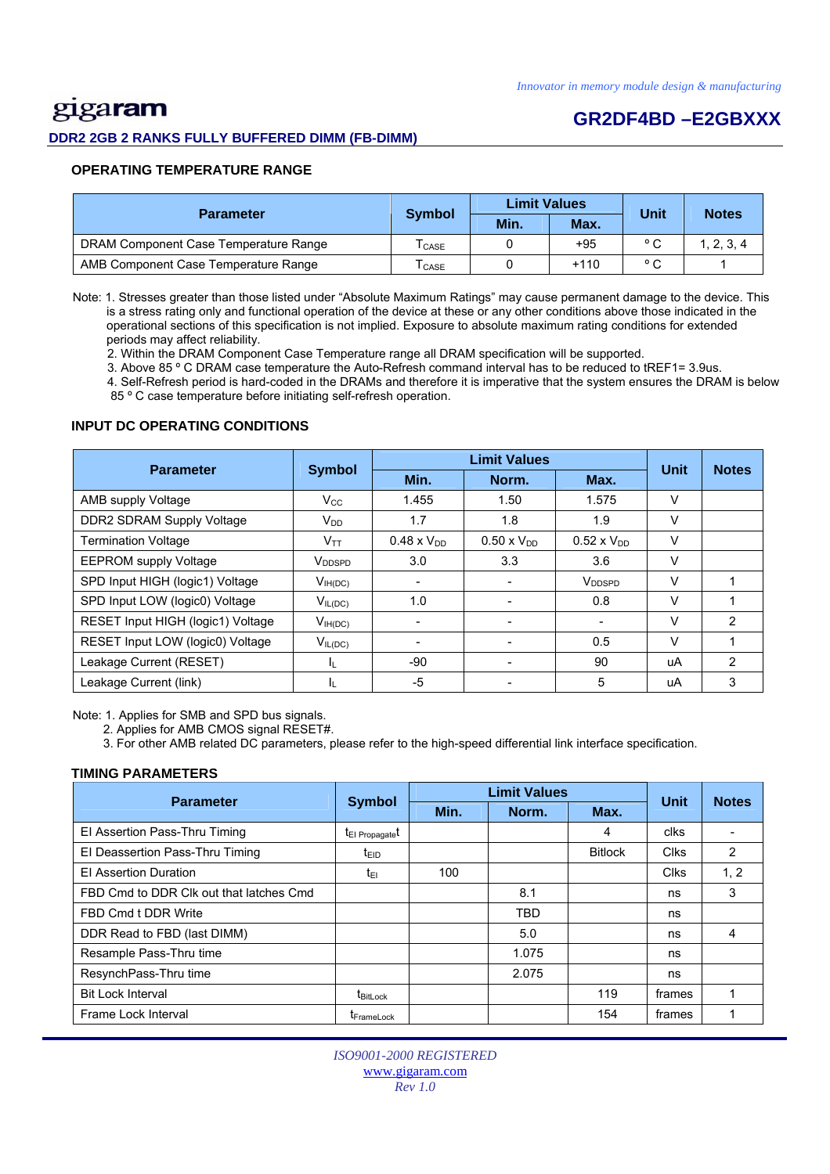# gigaram

#### **DDR2 2GB 2 RANKS FULLY BUFFERED DIMM (FB-DIMM)**

### **GR2DF4BD –E2GBXXX**

#### **OPERATING TEMPERATURE RANGE**

| <b>Parameter</b>                      | <b>Symbol</b>                | <b>Limit Values</b> |        | Unit           | <b>Notes</b> |  |
|---------------------------------------|------------------------------|---------------------|--------|----------------|--------------|--|
|                                       |                              | Min.                | Max.   |                |              |  |
| DRAM Component Case Temperature Range | $\mathsf{T}_{\mathsf{CASE}}$ |                     | +95    | $\circ$ $\sim$ | 1, 2, 3, 4   |  |
| AMB Component Case Temperature Range  | CASE                         |                     | $+110$ | $\circ$ $\sim$ |              |  |

 Note: 1. Stresses greater than those listed under "Absolute Maximum Ratings" may cause permanent damage to the device. This is a stress rating only and functional operation of the device at these or any other conditions above those indicated in the operational sections of this specification is not implied. Exposure to absolute maximum rating conditions for extended periods may affect reliability.

2. Within the DRAM Component Case Temperature range all DRAM specification will be supported.

3. Above 85 º C DRAM case temperature the Auto-Refresh command interval has to be reduced to tREF1= 3.9us.

 4. Self-Refresh period is hard-coded in the DRAMs and therefore it is imperative that the system ensures the DRAM is below 85 º C case temperature before initiating self-refresh operation.

#### **INPUT DC OPERATING CONDITIONS**

| <b>Parameter</b>                  | <b>Symbol</b>      | <b>Limit Values</b>  |                      |                      | <b>Unit</b> | <b>Notes</b>   |
|-----------------------------------|--------------------|----------------------|----------------------|----------------------|-------------|----------------|
|                                   |                    | Min.                 | Norm.                | Max.                 |             |                |
| AMB supply Voltage                | $V_{\rm CC}$       | 1.455                | 1.50                 | 1.575                | V           |                |
| DDR2 SDRAM Supply Voltage         | $V_{DD}$           | 1.7                  | 1.8                  | 1.9                  | V           |                |
| <b>Termination Voltage</b>        | Vтт                | $0.48 \times V_{DD}$ | $0.50 \times V_{DD}$ | $0.52 \times V_{DD}$ | V           |                |
| <b>EEPROM supply Voltage</b>      | V <sub>DDSPD</sub> | 3.0                  | 3.3                  | 3.6                  | V           |                |
| SPD Input HIGH (logic1) Voltage   | $V_{IH(DC)}$       |                      |                      | V <sub>DDSPD</sub>   | V           |                |
| SPD Input LOW (logic0) Voltage    | $V_{IL(DC)}$       | 1.0                  |                      | 0.8                  | V           |                |
| RESET Input HIGH (logic1) Voltage | $V_{IH(DC)}$       |                      |                      |                      | V           | $\mathfrak{p}$ |
| RESET Input LOW (logic0) Voltage  | $V_{IL(DC)}$       |                      |                      | 0.5                  | $\vee$      |                |
| Leakage Current (RESET)           | IL.                | $-90$                |                      | 90                   | uA          | $\mathfrak{p}$ |
| Leakage Current (link)            | IL.                | $-5$                 |                      | 5                    | uA          | 3              |

Note: 1. Applies for SMB and SPD bus signals.

2. Applies for AMB CMOS signal RESET#.

3. For other AMB related DC parameters, please refer to the high-speed differential link interface specification.

#### **TIMING PARAMETERS**

| <b>Parameter</b>                        | <b>Symbol</b>               | <b>Limit Values</b> | <b>Unit</b> | <b>Notes</b>   |             |      |
|-----------------------------------------|-----------------------------|---------------------|-------------|----------------|-------------|------|
|                                         |                             | Min.                | Norm.       | Max.           |             |      |
| El Assertion Pass-Thru Timing           | t <sub>El Propagate</sub> t |                     |             | 4              | clks        |      |
| El Deassertion Pass-Thru Timing         | t <sub>EID</sub>            |                     |             | <b>Bitlock</b> | <b>Clks</b> | 2    |
| <b>El Assertion Duration</b>            | t∈ı                         | 100                 |             |                | <b>Clks</b> | 1, 2 |
| FBD Cmd to DDR Clk out that latches Cmd |                             |                     | 8.1         |                | ns          | 3    |
| FBD Cmd t DDR Write                     |                             |                     | <b>TBD</b>  |                | ns          |      |
| DDR Read to FBD (last DIMM)             |                             |                     | 5.0         |                | ns          | 4    |
| Resample Pass-Thru time                 |                             |                     | 1.075       |                | ns          |      |
| ResynchPass-Thru time                   |                             |                     | 2.075       |                | ns          |      |
| <b>Bit Lock Interval</b>                | t <sub>BitLock</sub>        |                     |             | 119            | frames      |      |
| Frame Lock Interval                     | <b>I</b> FrameLock          |                     |             | 154            | frames      |      |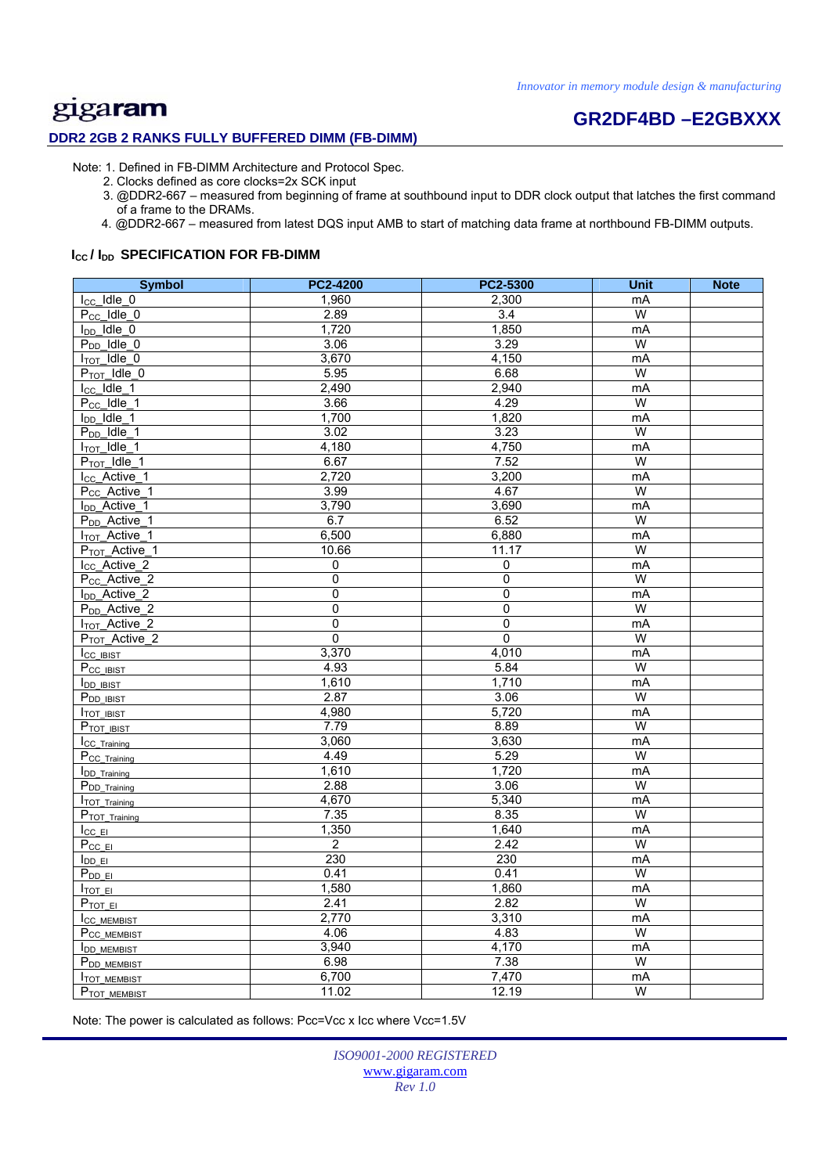### **DDR2 2GB 2 RANKS FULLY BUFFERED DIMM (FB-DIMM)**

# **GR2DF4BD –E2GBXXX**

Note: 1. Defined in FB-DIMM Architecture and Protocol Spec.

2. Clocks defined as core clocks=2x SCK input

 3. @DDR2-667 – measured from beginning of frame at southbound input to DDR clock output that latches the first command of a frame to the DRAMs.

4. @DDR2-667 – measured from latest DQS input AMB to start of matching data frame at northbound FB-DIMM outputs.

#### **I<sub>cc</sub>/I<sub>DD</sub> SPECIFICATION FOR FB-DIMM**

| <b>Symbol</b>                        | <b>PC2-4200</b> | PC2-5300       | <b>Unit</b>    | <b>Note</b> |
|--------------------------------------|-----------------|----------------|----------------|-------------|
| $I_{CC}$ Idle 0                      | 1,960           | 2,300          | mA             |             |
| $P_{CC}$ Idle $_0$                   | 2.89            | 3.4            | W              |             |
| $I_{DD}$ Idle 0                      | 1,720           | 1,850          | mA             |             |
| $P_{DD}$ Idle $0$                    | 3.06            | 3.29           | W              |             |
| $I_{TOT}$ Idle 0                     | 3,670           | 4,150          | mA             |             |
| $P_{TOT}$ Idle 0                     | 5.95            | 6.68           | W              |             |
| $I_{CC}$ Idle 1                      | 2,490           | 2,940          | mA             |             |
| $P_{CC}$ Idle 1                      | 3.66            | 4.29           | W              |             |
| $I_{DD}$ Idle 1                      | 1,700           | 1,820          | mA             |             |
| $P_{DD}$ _Idle_1                     | 3.02            | 3.23           | W              |             |
| $I_{\text{TOT}}$ Idle_1              | 4,180           | 4,750          | mA             |             |
| $P_{TOT}$ $\overline{\text{idle}}$ 1 | 6.67            | 7.52           | W              |             |
| I <sub>cc</sub> _Active <sub>1</sub> | 2,720           | 3,200          | mA             |             |
| P <sub>cc</sub> _Active_1            | 3.99            | 4.67           | W              |             |
| I <sub>DD</sub> _Active_1            | 3,790           | 3.690          | mA             |             |
| P <sub>DD</sub> _Active_1            | 6.7             | 6.52           | W              |             |
| I <sub>TOT</sub> _Active_1           | 6,500           | 6,880          | mA             |             |
| P <sub>TOT</sub> _Active_1           | 10.66           | 11.17          | W              |             |
| I <sub>cc</sub> _Active_2            | 0               | $\mathbf 0$    | mA             |             |
| P <sub>CC</sub> _Active_2            | $\overline{0}$  | $\pmb{0}$      | W              |             |
| I <sub>DD</sub> _Active_2            | 0               | $\overline{0}$ | mA             |             |
| P <sub>DD</sub> _Active_2            | 0               | 0              | W              |             |
| <b>I<sub>TOT</sub></b> Active 2      | 0               | $\pmb{0}$      | mA             |             |
| P <sub>TOT</sub> _Active_2           | $\overline{0}$  | 0              | $\overline{W}$ |             |
| Icc IBIST                            | 3,370           | 4,010          | mA             |             |
| P <sub>CC_IBIST</sub>                | 4.93            | 5.84           | W              |             |
| <b>I</b> <sub>DD</sub> IBIST         | 1,610           | 1,710          | mA             |             |
| P <sub>DD IBIST</sub>                | 2.87            | 3.06           | W              |             |
| <b>ITOT IBIST</b>                    | 4,980           | 5,720          | mA             |             |
| PTOT IBIST                           | 7.79            | 8.89           | W              |             |
| <b>ICC</b> Training                  | 3,060           | 3,630          | mA             |             |
| P <sub>CC_Training</sub>             | 4.49            | 5.29           | W              |             |
| <b>IDD</b> Training                  | 1,610           | 1,720          | mA             |             |
| P <sub>DD</sub> _Training            | 2.88            | 3.06           | W              |             |
| TOT Training                         | 4,670           | 5,340          | mA             |             |
| P <sub>TOT</sub> Training            | 7.35            | 8.35           | W              |             |
| $I_{CCE}$                            | 1,350           | 1,640          | mA             |             |
| $P_{CC} E $                          | $\overline{2}$  | 2.42           | W              |             |
| $I_{DDE}$                            | 230             | 230            | mA             |             |
| $P_{DD\_EI}$                         | 0.41            | 0.41           | W              |             |
| $I_{\text{TOT}}$ EI                  | 1,580           | 1,860          | mA             |             |
| P <sub>TOT EI</sub>                  | 2.41            | 2.82           | W              |             |
| <b>ICC MEMBIST</b>                   | 2,770           | 3,310          | mA             |             |
| P <sub>CC MEMBIST</sub>              | 4.06            | 4.83           | W              |             |
| <b>IDD MEMBIST</b>                   | 3,940           | 4,170          | mA             |             |
| P <sub>DD</sub> MEMBIST              | 6.98            | 7.38           | W              |             |
| <b>ITOT MEMBIST</b>                  | 6,700           | 7,470          | mA             |             |
| P <sub>TOT</sub> MEMBIST             | 11.02           | 12.19          | W              |             |

Note: The power is calculated as follows: Pcc=Vcc x Icc where Vcc=1.5V

*ISO9001-2000 REGISTERED*  www.gigaram.com *Rev 1.0*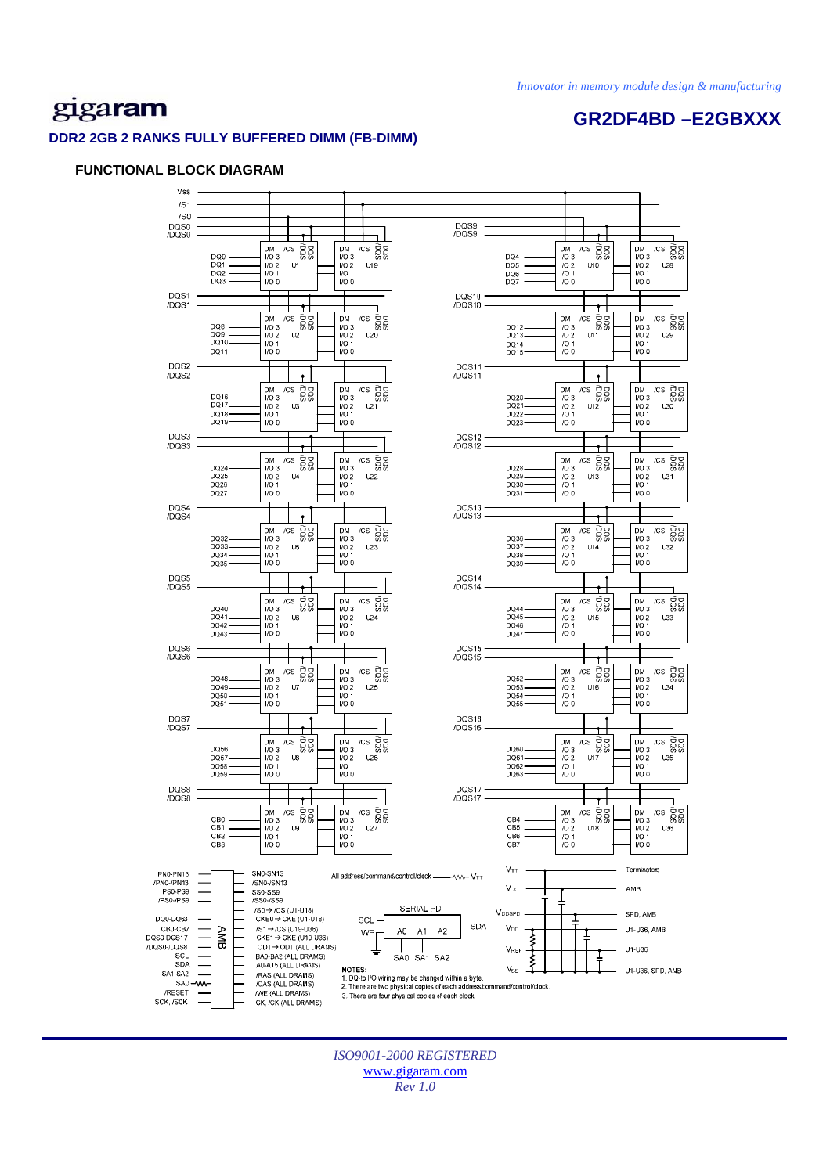**GR2DF4BD –E2GBXXX** 

## gigaram

#### **DDR2 2GB 2 RANKS FULLY BUFFERED DIMM (FB-DIMM)**

#### **FUNCTIONAL BLOCK DIAGRAM**